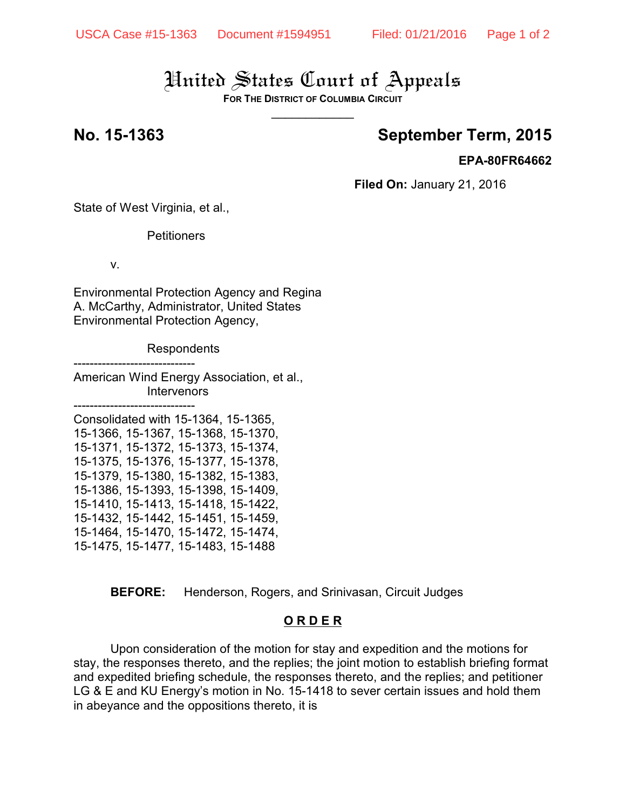# United States Court of Appeals

**FOR THE DISTRICT OF COLUMBIA CIRCUIT**  $\overline{\phantom{a}}$ 

## **No. 15-1363 September Term, 2015**

## **EPA-80FR64662**

**Filed On:** January 21, 2016

State of West Virginia, et al.,

**Petitioners** 

v.

Environmental Protection Agency and Regina A. McCarthy, Administrator, United States Environmental Protection Agency,

**Respondents** 

------------------------------

American Wind Energy Association, et al., Intervenors

------------------------------ Consolidated with 15-1364, 15-1365, 15-1366, 15-1367, 15-1368, 15-1370, 15-1371, 15-1372, 15-1373, 15-1374, 15-1375, 15-1376, 15-1377, 15-1378, 15-1379, 15-1380, 15-1382, 15-1383, 15-1386, 15-1393, 15-1398, 15-1409, 15-1410, 15-1413, 15-1418, 15-1422, 15-1432, 15-1442, 15-1451, 15-1459, 15-1464, 15-1470, 15-1472, 15-1474, 15-1475, 15-1477, 15-1483, 15-1488

**BEFORE:** Henderson, Rogers, and Srinivasan, Circuit Judges

## **O R D E R**

Upon consideration of the motion for stay and expedition and the motions for stay, the responses thereto, and the replies; the joint motion to establish briefing format and expedited briefing schedule, the responses thereto, and the replies; and petitioner LG & E and KU Energy's motion in No. 15-1418 to sever certain issues and hold them in abeyance and the oppositions thereto, it is